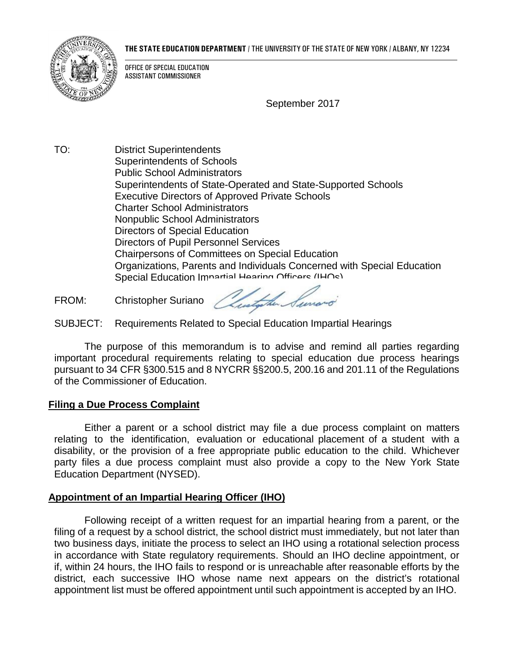

#### **THE STATE EDUCATION DEPARTMENT** / THE UNIVERSITY OF THE STATE OF NEW YORK / ALBANY, NY 12234

OFFICE OF SPECIAL EDUCATION ASSISTANT COMMISSIONER

September 2017

TO: District Superintendents Superintendents of Schools Public School Administrators Superintendents of State-Operated and State-Supported Schools Executive Directors of Approved Private Schools Charter School Administrators Nonpublic School Administrators Directors of Special Education Directors of Pupil Personnel Services Chairpersons of Committees on Special Education Organizations, Parents and Individuals Concerned with Special Education Special Education Impartial Hearing Officers (IHOs)

FROM: Christopher Suriano

SUBJECT: Requirements Related to Special Education Impartial Hearings

The purpose of this memorandum is to advise and remind all parties regarding important procedural requirements relating to special education due process hearings pursuant to 34 CFR §300.515 and 8 NYCRR §§200.5, 200.16 and 201.11 of the Regulations of the Commissioner of Education.

## **Filing a Due Process Complaint**

Either a parent or a school district may file a due process complaint on matters relating to the identification, evaluation or educational placement of a student with a disability, or the provision of a free appropriate public education to the child. Whichever party files a due process complaint must also provide a copy to the New York State Education Department (NYSED).

## **Appointment of an Impartial Hearing Officer (IHO)**

Following receipt of a written request for an impartial hearing from a parent, or the filing of a request by a school district, the school district must immediately, but not later than two business days, initiate the process to select an IHO using a rotational selection process in accordance with State regulatory requirements. Should an IHO decline appointment, or if, within 24 hours, the IHO fails to respond or is unreachable after reasonable efforts by the district, each successive IHO whose name next appears on the district's rotational appointment list must be offered appointment until such appointment is accepted by an IHO.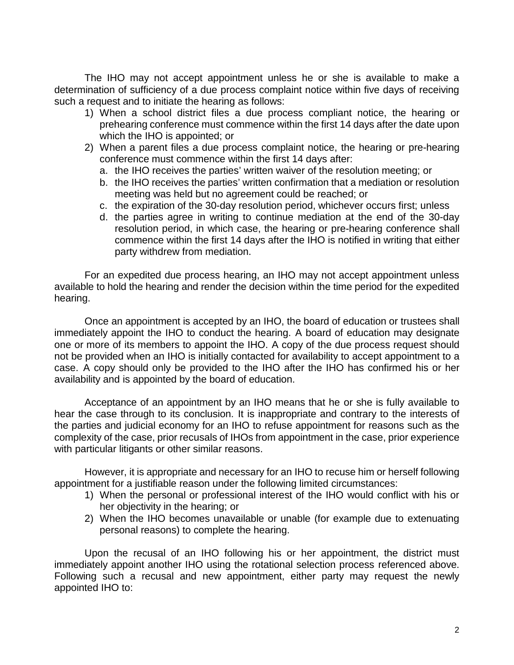The IHO may not accept appointment unless he or she is available to make a determination of sufficiency of a due process complaint notice within five days of receiving such a request and to initiate the hearing as follows:

- 1) When a school district files a due process compliant notice, the hearing or prehearing conference must commence within the first 14 days after the date upon which the IHO is appointed; or
- 2) When a parent files a due process complaint notice, the hearing or pre-hearing conference must commence within the first 14 days after:
	- a. the IHO receives the parties' written waiver of the resolution meeting; or
	- b. the IHO receives the parties' written confirmation that a mediation or resolution meeting was held but no agreement could be reached; or
	- c. the expiration of the 30-day resolution period, whichever occurs first; unless
	- d. the parties agree in writing to continue mediation at the end of the 30-day resolution period, in which case, the hearing or pre-hearing conference shall commence within the first 14 days after the IHO is notified in writing that either party withdrew from mediation.

For an expedited due process hearing, an IHO may not accept appointment unless available to hold the hearing and render the decision within the time period for the expedited hearing.

Once an appointment is accepted by an IHO, the board of education or trustees shall immediately appoint the IHO to conduct the hearing. A board of education may designate one or more of its members to appoint the IHO. A copy of the due process request should not be provided when an IHO is initially contacted for availability to accept appointment to a case. A copy should only be provided to the IHO after the IHO has confirmed his or her availability and is appointed by the board of education.

Acceptance of an appointment by an IHO means that he or she is fully available to hear the case through to its conclusion. It is inappropriate and contrary to the interests of the parties and judicial economy for an IHO to refuse appointment for reasons such as the complexity of the case, prior recusals of IHOs from appointment in the case, prior experience with particular litigants or other similar reasons.

However, it is appropriate and necessary for an IHO to recuse him or herself following appointment for a justifiable reason under the following limited circumstances:

- 1) When the personal or professional interest of the IHO would conflict with his or her objectivity in the hearing; or
- 2) When the IHO becomes unavailable or unable (for example due to extenuating personal reasons) to complete the hearing.

Upon the recusal of an IHO following his or her appointment, the district must immediately appoint another IHO using the rotational selection process referenced above. Following such a recusal and new appointment, either party may request the newly appointed IHO to: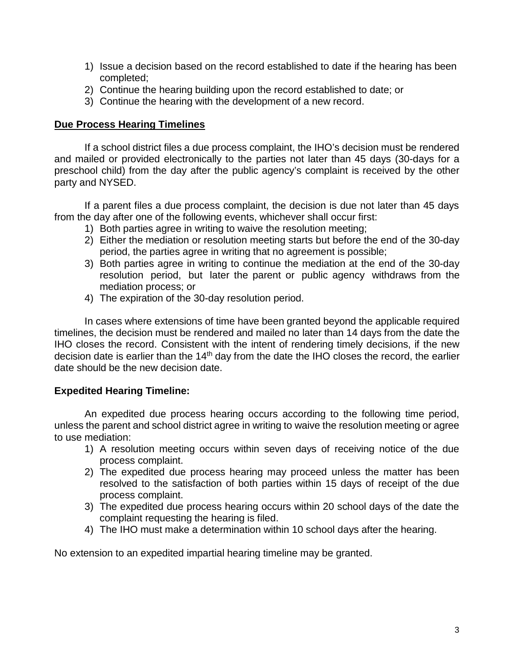- 1) Issue a decision based on the record established to date if the hearing has been completed;
- 2) Continue the hearing building upon the record established to date; or
- 3) Continue the hearing with the development of a new record.

# **Due Process Hearing Timelines**

If a school district files a due process complaint, the IHO's decision must be rendered and mailed or provided electronically to the parties not later than 45 days (30-days for a preschool child) from the day after the public agency's complaint is received by the other party and NYSED.

If a parent files a due process complaint, the decision is due not later than 45 days from the day after one of the following events, whichever shall occur first:

- 1) Both parties agree in writing to waive the resolution meeting;
- 2) Either the mediation or resolution meeting starts but before the end of the 30-day period, the parties agree in writing that no agreement is possible;
- 3) Both parties agree in writing to continue the mediation at the end of the 30-day resolution period, but later the parent or public agency withdraws from the mediation process; or
- 4) The expiration of the 30-day resolution period.

In cases where extensions of time have been granted beyond the applicable required timelines, the decision must be rendered and mailed no later than 14 days from the date the IHO closes the record. Consistent with the intent of rendering timely decisions, if the new decision date is earlier than the 14<sup>th</sup> day from the date the IHO closes the record, the earlier date should be the new decision date.

# **Expedited Hearing Timeline:**

An expedited due process hearing occurs according to the following time period, unless the parent and school district agree in writing to waive the resolution meeting or agree to use mediation:

- 1) A resolution meeting occurs within seven days of receiving notice of the due process complaint.
- 2) The expedited due process hearing may proceed unless the matter has been resolved to the satisfaction of both parties within 15 days of receipt of the due process complaint.
- 3) The expedited due process hearing occurs within 20 school days of the date the complaint requesting the hearing is filed.
- 4) The IHO must make a determination within 10 school days after the hearing.

No extension to an expedited impartial hearing timeline may be granted.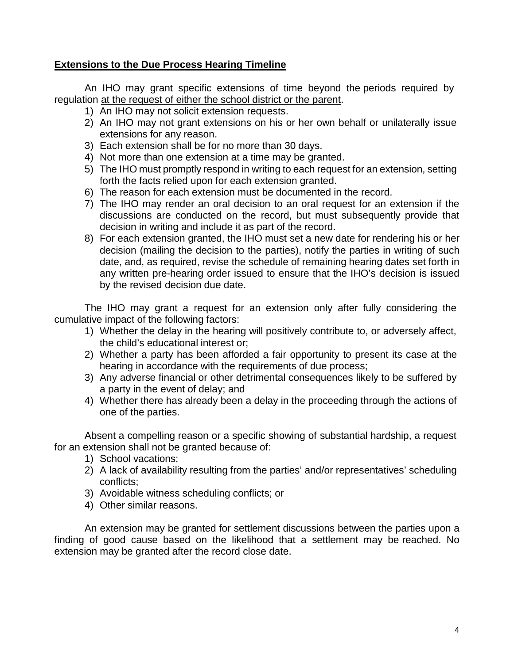# **Extensions to the Due Process Hearing Timeline**

An IHO may grant specific extensions of time beyond the periods required by regulation at the request of either the school district or the parent.

- 1) An IHO may not solicit extension requests.
- 2) An IHO may not grant extensions on his or her own behalf or unilaterally issue extensions for any reason.
- 3) Each extension shall be for no more than 30 days.
- 4) Not more than one extension at a time may be granted.
- 5) The IHO must promptly respond in writing to each request for an extension, setting forth the facts relied upon for each extension granted.
- 6) The reason for each extension must be documented in the record.
- 7) The IHO may render an oral decision to an oral request for an extension if the discussions are conducted on the record, but must subsequently provide that decision in writing and include it as part of the record.
- 8) For each extension granted, the IHO must set a new date for rendering his or her decision (mailing the decision to the parties), notify the parties in writing of such date, and, as required, revise the schedule of remaining hearing dates set forth in any written pre-hearing order issued to ensure that the IHO's decision is issued by the revised decision due date.

The IHO may grant a request for an extension only after fully considering the cumulative impact of the following factors:

- 1) Whether the delay in the hearing will positively contribute to, or adversely affect, the child's educational interest or;
- 2) Whether a party has been afforded a fair opportunity to present its case at the hearing in accordance with the requirements of due process;
- 3) Any adverse financial or other detrimental consequences likely to be suffered by a party in the event of delay; and
- 4) Whether there has already been a delay in the proceeding through the actions of one of the parties.

Absent a compelling reason or a specific showing of substantial hardship, a request for an extension shall not be granted because of:

- 1) School vacations;
- 2) A lack of availability resulting from the parties' and/or representatives' scheduling conflicts;
- 3) Avoidable witness scheduling conflicts; or
- 4) Other similar reasons.

An extension may be granted for settlement discussions between the parties upon a finding of good cause based on the likelihood that a settlement may be reached. No extension may be granted after the record close date.